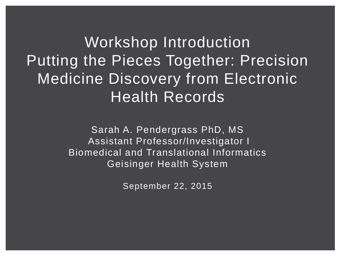Workshop Introduction Putting the Pieces Together: Precision Medicine Discovery from Electronic Health Records

> Sarah A. Pendergrass PhD, MS Assistant Professor/Investigator I Biomedical and Translational Informatics Geisinger Health System

> > September 22, 2015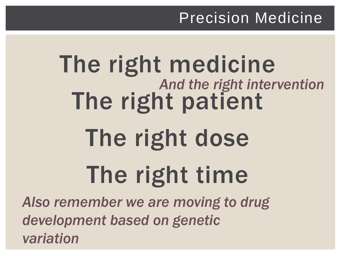#### Precision Medicine

# The right medicine The right patient The right dose The right time *And the right intervention*

*Also remember we are moving to drug development based on genetic variation*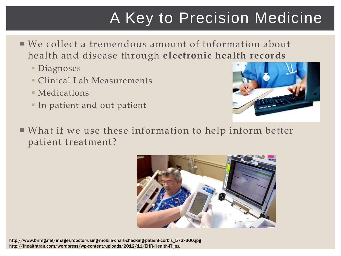### A Key to Precision Medicine

- We collect a tremendous amount of information about health and disease through **electronic health records**
	- Diagnoses
	- Clinical Lab Measurements
	- **Medications**
	- **IF In patient and out patient**



 What if we use these information to help inform better patient treatment?



http://www.brimg.net/images/doctor-using-mobile-chart-checking-patient-corbis\_573x300.jpg http://ihealthtran.com/wordpress/wp-content/uploads/2012/11/EHR-Health-IT.jpg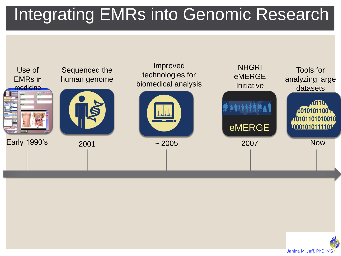# Integrating EMRs into Genomic Research



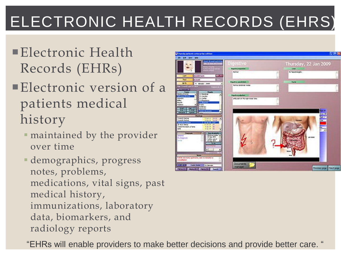# ELECTRONIC HEALTH RECORDS (EHRS)

- Electronic Health Records (EHRs)
- **Electronic version of a** patients medical history
	- maintained by the provider over time
	- demographics, progress notes, problems, medications, vital signs, past medical history, immunizations, laboratory data, biomarkers, and radiology reports



"EHRs will enable providers to make better decisions and provide better care. "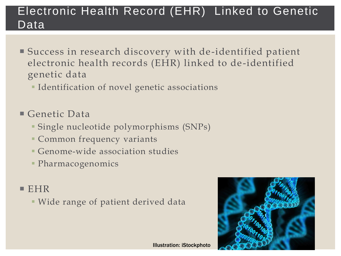#### Electronic Health Record (EHR) Linked to Genetic Data

- Success in research discovery with de-identified patient electronic health records (EHR) linked to de -identified genetic data
	- **IDENTIFICATION OF NOVEL GENETIC ASSOCIATIONS**
- Genetic Data
	- Single nucleotide polymorphisms (SNPs)
	- Common frequency variants
	- Genome-wide association studies
	- Pharmacogenomics

#### $EHR$

Wide range of patient derived data

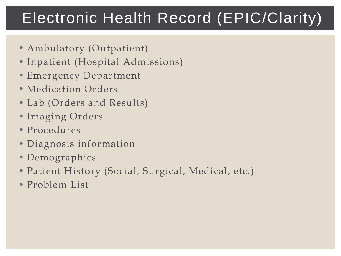### Electronic Health Record (EPIC/Clarity)

- Ambulatory (Outpatient)
- Inpatient (Hospital Admissions)
- Emergency Department
- Medication Orders
- Lab (Orders and Results)
- Imaging Orders
- Procedures
- Diagnosis information
- Demographics
- Patient History (Social, Surgical, Medical, etc.)
- Problem List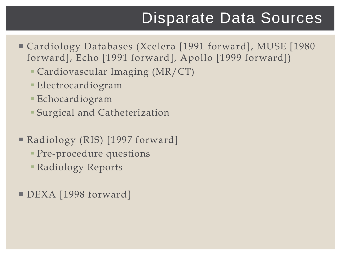#### Disparate Data Sources

- Cardiology Databases (Xcelera [1991 forward], MUSE [1980 forward], Echo [1991 forward], Apollo [1999 forward])
	- Cardiovascular Imaging (MR/CT)
	- Electrocardiogram
	- Echocardiogram
	- Surgical and Catheterization
- Radiology (RIS) [1997 forward]
	- **Pre-procedure questions**
	- Radiology Reports
- DEXA [1998 forward]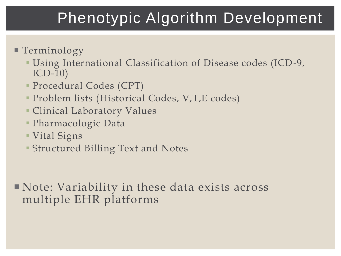### Phenotypic Algorithm Development

- Terminology
	- Using International Classification of Disease codes (ICD-9, ICD-10)
	- Procedural Codes (CPT)
	- Problem lists (Historical Codes, V,T,E codes)
	- Clinical Laboratory Values
	- Pharmacologic Data
	- Vital Signs
	- Structured Billing Text and Notes

 Note: Variability in these data exists across multiple EHR platforms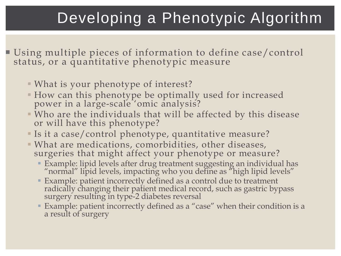### Developing a Phenotypic Algorithm

- Using multiple pieces of information to define case/control status, or a quantitative phenotypic measure
	- What is your phenotype of interest?
	- How can this phenotype be optimally used for increased power in a large-scale 'omic analysis?
	- Who are the individuals that will be affected by this disease or will have this phenotype?
	- Is it a case/control phenotype, quantitative measure?
	- What are medications, comorbidities, other diseases, surgeries that might affect your phenotype or measure?
		- Example: lipid levels after drug treatment suggesting an individual has "normal" lipid levels, impacting who you define as "high lipid levels"
		- Example: patient incorrectly defined as a control due to treatment radically changing their patient medical record, such as gastric bypass surgery resulting in type-2 diabetes reversal
		- Example: patient incorrectly defined as a "case" when their condition is a a result of surgery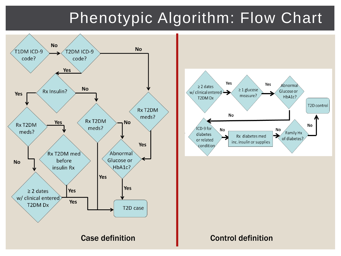### Phenotypic Algorithm: Flow Chart

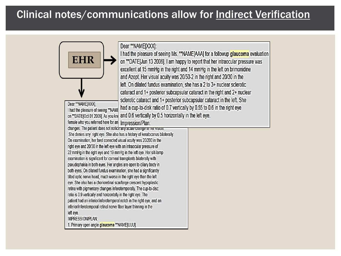#### Clinical notes/communications allow for Indirect Verification

Dear \*\* NAME[XXX]:

I had the pleasure of seeing Ms. \*\*NAME[AAA] for a followup glaucoma evaluation on \*\*DATEIJun 13 2006]. I am happy to report that her intraocular pressure was excellent at 15 mmHg in the right and 14 mmHg in the left on brimonidine and Azopt. Her visual acuity was 20/50-2 in the right and 20/30 in the left. On dilated fundus examination, she has a 2 to 3+ nuclear sclerotic cataract and 1+ posterior subcapsular cataract in the right and 2+ nuclear sclerotic cataract and 1+ posterior subcapsular cataract in the left. She had a cup-to-disk ratio of 0.7 vertically by 0.55 to 0.6 in the right eye I had the pleasure of seeing \*\* NAME on \*\*DATE(Oct 01 2009). As you know and 0.6 vertically by 0.5 horizontally in the left eye.

female who you referred here for an Impression/Plan: changes. The patient does not notice any acute change in her vision.

**EHR**

Dear \*\* NAME[XXX].

She denies any right eve. She also has a history of keratoconus bilaterally. On examination, her best corrected visual acuity was 20/200 in the right eye and 20/30 in the left eye with an intraocular pressure of 22 mmHg in the right eye and 19 mmHg in the left eye. Her slit-lamp examination is significant for corneal transplants bilaterally with pseudophakia in both eyes. Her angles are open to ciliary body in both eyes. On dilated fundus examination, she had a significantly tilted optic nerve head, much worse in the right eye than the left eye. She also has a chorioretinal scar/large crescent hypoplastic retina with pigmentary changes inferotemporally. The cup-to-disc ratio is 0.9 vertically and horizontally in the right eye. The patient had an inferior/inferotemporal notch in the right eye, and an inferior/inferotemporal retinal nerve fiber layer thinning in the left eye. IMPRESSION/PLAN:

1. Primary open angle glaucoma \*\* NAME[UUU].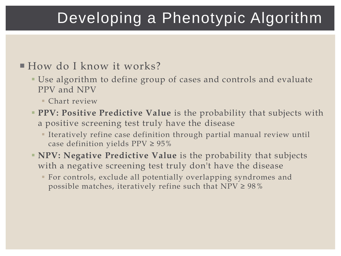### Developing a Phenotypic Algorithm

#### How do I know it works?

- Use algorithm to define group of cases and controls and evaluate PPV and NPV
	- Chart review
- **PPV: Positive Predictive Value** is the probability that subjects with a positive screening test truly have the disease
	- Iteratively refine case definition through partial manual review until case definition yields  $PPV \ge 95\%$
- **NPV: Negative Predictive Value** is the probability that subjects with a negative screening test truly don't have the disease
	- For controls, exclude all potentially overlapping syndromes and possible matches, iteratively refine such that  $NPV \ge 98\%$